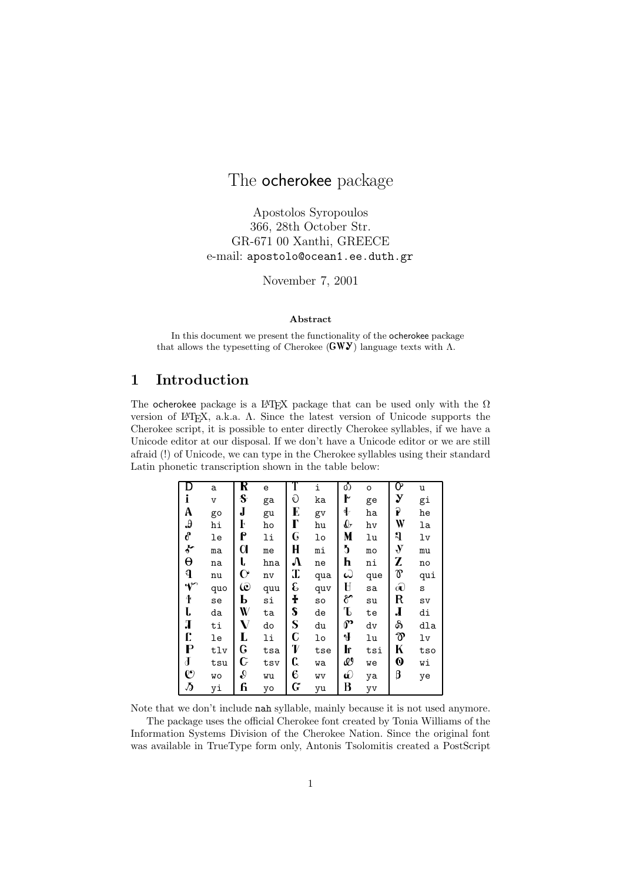# The ocherokee package

Apostolos Syropoulos 366, 28th October Str. GR-671 00 Xanthi, GREECE e-mail: apostolo@ocean1.ee.duth.gr

November 7, 2001

### Abstract

In this document we present the functionality of the ocherokee package that allows the typesetting of Cherokee (GWY) language texts with  $\Lambda$ .

## 1 Introduction

The ocherokee package is a LATEX package that can be used only with the  $\Omega$ version of LATEX, a.k.a.  $\Lambda$ . Since the latest version of Unicode supports the Cherokee script, it is possible to enter directly Cherokee syllables, if we have a Unicode editor at our disposal. If we don't have a Unicode editor or we are still afraid (!) of Unicode, we can type in the Cherokee syllables using their standard Latin phonetic transcription shown in the table below:

| ΓD                    | a           | R                        | e   | T            | i   | δ                      | $\circ$ | $\overline{\mathrm{O}}$ | u       |
|-----------------------|-------------|--------------------------|-----|--------------|-----|------------------------|---------|-------------------------|---------|
| i                     | $\mathbf v$ | S                        | ga  | O            | ka  | ŀ                      | ge      | $\mathbf y$             | gi      |
| A                     | go          | J                        | gu  | E            | gv  | ╉                      | ha      | ĥ                       | he      |
| $\boldsymbol{\theta}$ | hi          | ŀ                        | ho  | Г            | hu  | b                      | hv      | W                       | la      |
| c                     | le          | P                        | li  | G            | lo  | M                      | 1u      | រា្ម                    | lv      |
| $\mathbf{r}$          | ma          | $\boldsymbol{0}$         | me  | H            | mi  | 5                      | mo      | $\mathbf{y}$            | mu      |
| $\Theta$              | na          | լ                        | hna | $\Lambda$    | ne  | h                      | ni      | Z                       | no      |
| $\mathbf{q}$          | nu          | $\mathbf{C}^{\prime}$    | nv  | T            | qua | $\omega$               | que     | $\vartheta$             | qui     |
| $\mathbf{\hat{v}}$    | quo         | $\ddot{\mathbf{e}}$      | quu | E            | quv | Ĥ                      | sa      | $\widehat{\infty}$      | S       |
| $\mathbf{f}$          | se          | Ь                        | si  | ł            | so  | ಿ                      | su      | R                       | $s_{V}$ |
| ĺ,                    | da          | W                        | ta  | \$           | de  | $\mathbf T$            | te      | J                       | di      |
| Л                     | ti          | V                        | do  | S            | du  | $\mathbf{C}^{\bullet}$ | dv      | o                       | dla     |
| Ľ                     | le          | L                        | li  | C            | lo  | Վ                      | lu      | V                       | lv      |
| ${\bf P}$             | tlv         | G                        | tsa | V            | tse | h                      | tsi     | K                       | tso     |
| $\bf J$               | tsu         | $\mathbf{C}$             | tsv | Ը            | wa  | cI                     | we      | $\boldsymbol{\omega}$   | Wi      |
| $\mathbfcal{O}$       | WО          | $\boldsymbol{\vartheta}$ | wu  | 6            | WV  | ŵ                      | ya      | β                       | ye      |
| $\sqrt{2}$            | уi          | ճ                        | yo  | $\mathsf{G}$ | yu  | B                      | yv      |                         |         |

Note that we don't include nah syllable, mainly because it is not used anymore.

The package uses the official Cherokee font created by Tonia Williams of the Information Systems Division of the Cherokee Nation. Since the original font was available in TrueType form only, Antonis Tsolomitis created a PostScript